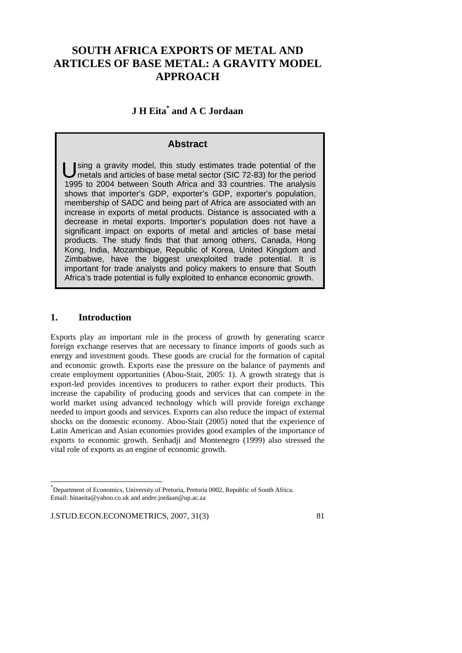# **SOUTH AFRICA EXPORTS OF METAL AND ARTICLES OF BASE METAL: A GRAVITY MODEL APPROACH**

# **J H Eita\* and A C Jordaan**

# **Abstract**

sing a gravity model, this study estimates trade potential of the metals and articles of base metal sector (SIC 72-83) for the period 1995 to 2004 between South Africa and 33 countries. The analysis shows that importer's GDP, exporter's GDP, exporter's population, membership of SADC and being part of Africa are associated with an increase in exports of metal products. Distance is associated with a decrease in metal exports. Importer's population does not have a significant impact on exports of metal and articles of base metal products. The study finds that that among others, Canada, Hong Kong, India, Mozambique, Republic of Korea, United Kingdom and Zimbabwe, have the biggest unexploited trade potential. It is important for trade analysts and policy makers to ensure that South Africa's trade potential is fully exploited to enhance economic growth. U

# **1. Introduction**

-

Exports play an important role in the process of growth by generating scarce foreign exchange reserves that are necessary to finance imports of goods such as energy and investment goods. These goods are crucial for the formation of capital and economic growth. Exports ease the pressure on the balance of payments and create employment opportunities (Abou-Stait, 2005: 1). A growth strategy that is export-led provides incentives to producers to rather export their products. This increase the capability of producing goods and services that can compete in the world market using advanced technology which will provide foreign exchange needed to import goods and services. Exports can also reduce the impact of external shocks on the domestic economy. Abou-Stait (2005) noted that the experience of Latin American and Asian economies provides good examples of the importance of exports to economic growth. Senhadji and Montenegro (1999) also stressed the vital role of exports as an engine of economic growth.

<sup>\*</sup> Department of Economics, University of Pretoria, Pretoria 0002, Republic of South Africa. Email: hinaeita@yahoo.co.uk and andre.jordaan@up.ac.za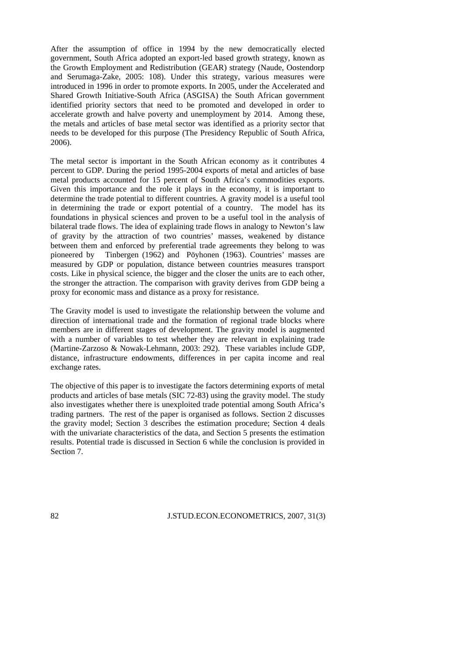After the assumption of office in 1994 by the new democratically elected government, South Africa adopted an export-led based growth strategy, known as the Growth Employment and Redistribution (GEAR) strategy (Naude, Oostendorp and Serumaga-Zake, 2005: 108). Under this strategy, various measures were introduced in 1996 in order to promote exports. In 2005, under the Accelerated and Shared Growth Initiative-South Africa (ASGISA) the South African government identified priority sectors that need to be promoted and developed in order to accelerate growth and halve poverty and unemployment by 2014. Among these, the metals and articles of base metal sector was identified as a priority sector that needs to be developed for this purpose (The Presidency Republic of South Africa, 2006).

The metal sector is important in the South African economy as it contributes 4 percent to GDP. During the period 1995-2004 exports of metal and articles of base metal products accounted for 15 percent of South Africa's commodities exports. Given this importance and the role it plays in the economy, it is important to determine the trade potential to different countries. A gravity model is a useful tool in determining the trade or export potential of a country. The model has its foundations in physical sciences and proven to be a useful tool in the analysis of bilateral trade flows. The idea of explaining trade flows in analogy to Newton's law of gravity by the attraction of two countries' masses, weakened by distance between them and enforced by preferential trade agreements they belong to was pioneered by Tinbergen (1962) and Pöyhonen (1963). Countries' masses are measured by GDP or population, distance between countries measures transport costs. Like in physical science, the bigger and the closer the units are to each other, the stronger the attraction. The comparison with gravity derives from GDP being a proxy for economic mass and distance as a proxy for resistance.

The Gravity model is used to investigate the relationship between the volume and direction of international trade and the formation of regional trade blocks where members are in different stages of development. The gravity model is augmented with a number of variables to test whether they are relevant in explaining trade (Martine-Zarzoso & Nowak-Lehmann, 2003: 292). These variables include GDP, distance, infrastructure endowments, differences in per capita income and real exchange rates.

The objective of this paper is to investigate the factors determining exports of metal products and articles of base metals (SIC 72-83) using the gravity model. The study also investigates whether there is unexploited trade potential among South Africa's trading partners. The rest of the paper is organised as follows. Section 2 discusses the gravity model; Section 3 describes the estimation procedure; Section 4 deals with the univariate characteristics of the data, and Section 5 presents the estimation results. Potential trade is discussed in Section 6 while the conclusion is provided in Section 7.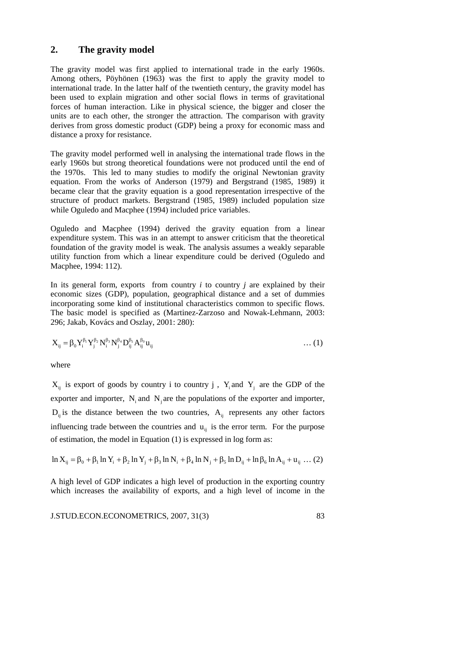## **2. The gravity model**

The gravity model was first applied to international trade in the early 1960s. Among others, Pöyhönen (1963) was the first to apply the gravity model to international trade. In the latter half of the twentieth century, the gravity model has been used to explain migration and other social flows in terms of gravitational forces of human interaction. Like in physical science, the bigger and closer the units are to each other, the stronger the attraction. The comparison with gravity derives from gross domestic product (GDP) being a proxy for economic mass and distance a proxy for resistance.

The gravity model performed well in analysing the international trade flows in the early 1960s but strong theoretical foundations were not produced until the end of the 1970s. This led to many studies to modify the original Newtonian gravity equation. From the works of Anderson (1979) and Bergstrand (1985, 1989) it became clear that the gravity equation is a good representation irrespective of the structure of product markets. Bergstrand (1985, 1989) included population size while Oguledo and Macphee (1994) included price variables.

Oguledo and Macphee (1994) derived the gravity equation from a linear expenditure system. This was in an attempt to answer criticism that the theoretical foundation of the gravity model is weak. The analysis assumes a weakly separable utility function from which a linear expenditure could be derived (Oguledo and Macphee, 1994: 112).

In its general form, exports from country  $i$  to country  $j$  are explained by their economic sizes (GDP), population, geographical distance and a set of dummies incorporating some kind of institutional characteristics common to specific flows. The basic model is specified as (Martinez-Zarzoso and Nowak-Lehmann, 2003: 296; Jakab, Kovács and Oszlay, 2001: 280):

$$
X_{ij} = \beta_0 Y_i^{\beta_1} Y_j^{\beta_2} N_i^{\beta_3} N_j^{\beta_4} D_{ij}^{\beta_5} A_{ij}^{\beta_0} u_{ij} \qquad \qquad \dots (1)
$$

where

 $X_{ii}$  is export of goods by country i to country j,  $Y_i$  and  $Y_j$  are the GDP of the exporter and importer,  $N_i$  and  $N_i$  are the populations of the exporter and importer,  $D_{ii}$  is the distance between the two countries,  $A_{ii}$  represents any other factors influencing trade between the countries and  $u_{ii}$  is the error term. For the purpose of estimation, the model in Equation (1) is expressed in log form as:

$$
\ln X_{ij} = \beta_0 + \beta_1 \ln Y_i + \beta_2 \ln Y_j + \beta_3 \ln N_i + \beta_4 \ln N_j + \beta_5 \ln D_{ij} + \ln \beta_6 \ln A_{ij} + u_{ij} \dots (2)
$$

A high level of GDP indicates a high level of production in the exporting country which increases the availability of exports, and a high level of income in the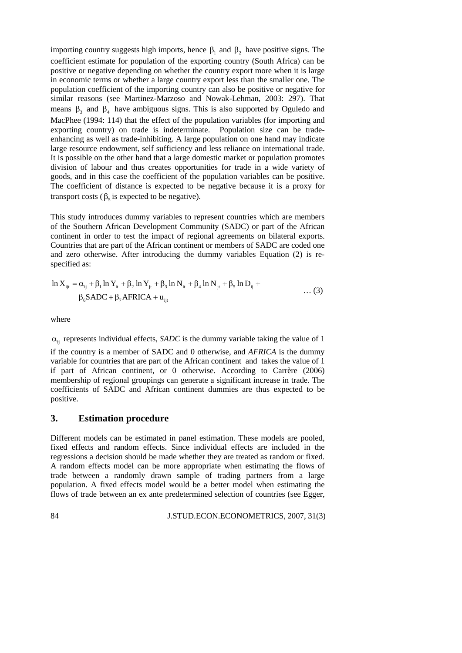importing country suggests high imports, hence  $\beta_1$  and  $\beta_2$  have positive signs. The coefficient estimate for population of the exporting country (South Africa) can be positive or negative depending on whether the country export more when it is large in economic terms or whether a large country export less than the smaller one. The population coefficient of the importing country can also be positive or negative for similar reasons (see Martinez-Marzoso and Nowak-Lehman, 2003: 297). That means  $\beta_3$  and  $\beta_4$  have ambiguous signs. This is also supported by Oguledo and MacPhee (1994: 114) that the effect of the population variables (for importing and exporting country) on trade is indeterminate. Population size can be tradeenhancing as well as trade-inhibiting. A large population on one hand may indicate large resource endowment, self sufficiency and less reliance on international trade. It is possible on the other hand that a large domestic market or population promotes division of labour and thus creates opportunities for trade in a wide variety of goods, and in this case the coefficient of the population variables can be positive. The coefficient of distance is expected to be negative because it is a proxy for transport costs ( $\beta_5$  is expected to be negative).

This study introduces dummy variables to represent countries which are members of the Southern African Development Community (SADC) or part of the African continent in order to test the impact of regional agreements on bilateral exports. Countries that are part of the African continent or members of SADC are coded one and zero otherwise. After introducing the dummy variables Equation (2) is respecified as:

$$
\ln X_{ijt} = \alpha_{ij} + \beta_1 \ln Y_{it} + \beta_2 \ln Y_{jt} + \beta_3 \ln N_{it} + \beta_4 \ln N_{jt} + \beta_5 \ln D_{ij} +
$$
  
\n
$$
\beta_6 \text{SADC} + \beta_7 \text{AFRICA} + u_{ijt}
$$
 ... (3)

where

 $\alpha_{ii}$  represents individual effects, *SADC* is the dummy variable taking the value of 1

if the country is a member of SADC and 0 otherwise, and *AFRICA* is the dummy variable for countries that are part of the African continent and takes the value of 1 if part of African continent, or 0 otherwise. According to Carrère (2006) membership of regional groupings can generate a significant increase in trade. The coefficients of SADC and African continent dummies are thus expected to be positive.

### **3. Estimation procedure**

Different models can be estimated in panel estimation. These models are pooled, fixed effects and random effects. Since individual effects are included in the regressions a decision should be made whether they are treated as random or fixed. A random effects model can be more appropriate when estimating the flows of trade between a randomly drawn sample of trading partners from a large population. A fixed effects model would be a better model when estimating the flows of trade between an ex ante predetermined selection of countries (see Egger,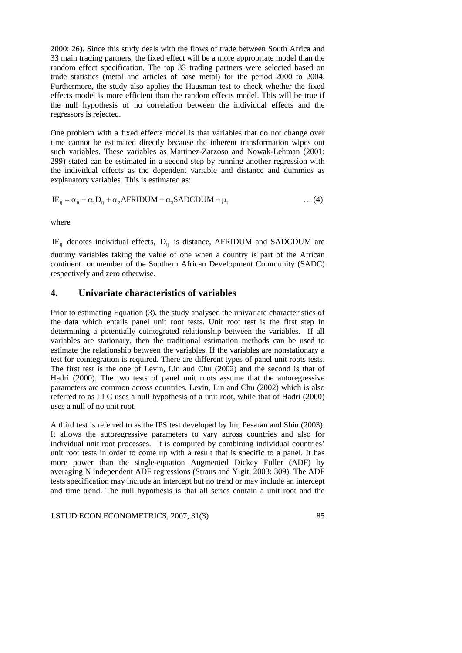2000: 26). Since this study deals with the flows of trade between South Africa and 33 main trading partners, the fixed effect will be a more appropriate model than the random effect specification. The top 33 trading partners were selected based on trade statistics (metal and articles of base metal) for the period 2000 to 2004. Furthermore, the study also applies the Hausman test to check whether the fixed effects model is more efficient than the random effects model. This will be true if the null hypothesis of no correlation between the individual effects and the regressors is rejected.

One problem with a fixed effects model is that variables that do not change over time cannot be estimated directly because the inherent transformation wipes out such variables. These variables as Martinez-Zarzoso and Nowak-Lehman (2001: 299) stated can be estimated in a second step by running another regression with the individual effects as the dependent variable and distance and dummies as explanatory variables. This is estimated as:

$$
IE_{ij} = \alpha_0 + \alpha_1 D_{ij} + \alpha_2 AFRIDUM + \alpha_3 SADCDUM + \mu_i
$$
 ... (4)

where

 $IE_{ii}$  denotes individual effects,  $D_{ii}$  is distance, AFRIDUM and SADCDUM are

dummy variables taking the value of one when a country is part of the African continent or member of the Southern African Development Community (SADC) respectively and zero otherwise.

# **4. Univariate characteristics of variables**

Prior to estimating Equation (3), the study analysed the univariate characteristics of the data which entails panel unit root tests. Unit root test is the first step in determining a potentially cointegrated relationship between the variables. If all variables are stationary, then the traditional estimation methods can be used to estimate the relationship between the variables. If the variables are nonstationary a test for cointegration is required. There are different types of panel unit roots tests. The first test is the one of Levin, Lin and Chu (2002) and the second is that of Hadri (2000). The two tests of panel unit roots assume that the autoregressive parameters are common across countries. Levin, Lin and Chu (2002) which is also referred to as LLC uses a null hypothesis of a unit root, while that of Hadri (2000) uses a null of no unit root.

A third test is referred to as the IPS test developed by Im, Pesaran and Shin (2003). It allows the autoregressive parameters to vary across countries and also for individual unit root processes. It is computed by combining individual countries' unit root tests in order to come up with a result that is specific to a panel. It has more power than the single-equation Augmented Dickey Fuller (ADF) by averaging N independent ADF regressions (Straus and Yigit, 2003: 309). The ADF tests specification may include an intercept but no trend or may include an intercept and time trend. The null hypothesis is that all series contain a unit root and the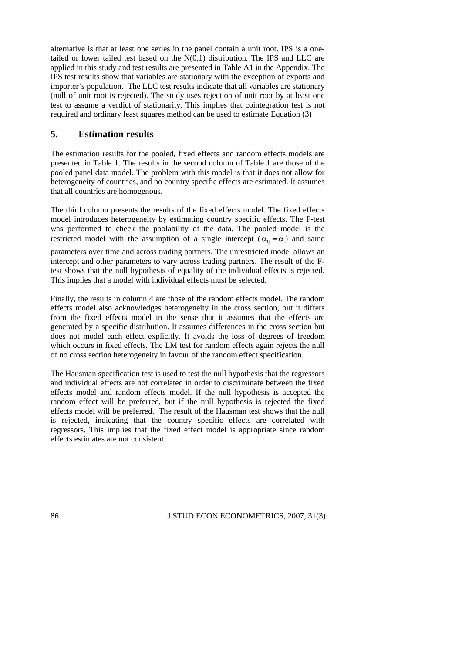alternative is that at least one series in the panel contain a unit root. IPS is a onetailed or lower tailed test based on the  $N(0,1)$  distribution. The IPS and LLC are applied in this study and test results are presented in Table A1 in the Appendix. The IPS test results show that variables are stationary with the exception of exports and importer's population. The LLC test results indicate that all variables are stationary (null of unit root is rejected). The study uses rejection of unit root by at least one test to assume a verdict of stationarity. This implies that cointegration test is not required and ordinary least squares method can be used to estimate Equation (3)

## **5. Estimation results**

The estimation results for the pooled, fixed effects and random effects models are presented in Table 1. The results in the second column of Table 1 are those of the pooled panel data model. The problem with this model is that it does not allow for heterogeneity of countries, and no country specific effects are estimated. It assumes that all countries are homogenous.

The third column presents the results of the fixed effects model. The fixed effects model introduces heterogeneity by estimating country specific effects. The F-test was performed to check the poolability of the data. The pooled model is the restricted model with the assumption of a single intercept ( $\alpha_{ii} = \alpha$ ) and same

parameters over time and across trading partners. The unrestricted model allows an intercept and other parameters to vary across trading partners. The result of the Ftest shows that the null hypothesis of equality of the individual effects is rejected. This implies that a model with individual effects must be selected.

Finally, the results in column 4 are those of the random effects model. The random effects model also acknowledges heterogeneity in the cross section, but it differs from the fixed effects model in the sense that it assumes that the effects are generated by a specific distribution. It assumes differences in the cross section but does not model each effect explicitly. It avoids the loss of degrees of freedom which occurs in fixed effects. The LM test for random effects again rejects the null of no cross section heterogeneity in favour of the random effect specification.

The Hausman specification test is used to test the null hypothesis that the regressors and individual effects are not correlated in order to discriminate between the fixed effects model and random effects model. If the null hypothesis is accepted the random effect will be preferred, but if the null hypothesis is rejected the fixed effects model will be preferred. The result of the Hausman test shows that the null is rejected, indicating that the country specific effects are correlated with regressors. This implies that the fixed effect model is appropriate since random effects estimates are not consistent.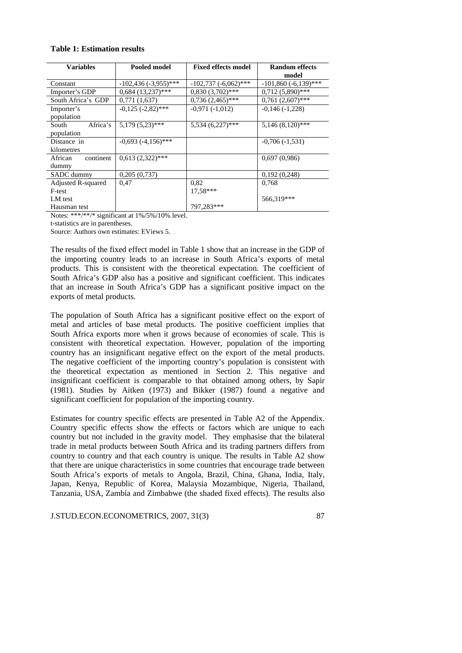## **Table 1: Estimation results**

| <b>Variables</b>                | Pooled model            | <b>Fixed effects model</b> | <b>Random effects</b>     |
|---------------------------------|-------------------------|----------------------------|---------------------------|
|                                 |                         |                            | model                     |
| Constant                        | $-102,436(-3,955)$ ***  | $-102,737$ $(-6,062)$ ***  | $-101,860$ $(-6,139)$ *** |
| Importer's GDP                  | $0.684(13.237)$ ***     | $0,830(3,702)$ ***         | $0,712(5,890)$ ***        |
| South Africa's GDP              | 0,771(1,637)            | $0,736(2,465)$ ***         | $0,761(2,607)$ ***        |
| Importer's<br>population        | $-0,125$ $(-2,82)$ ***  | $-0.971(-1.012)$           | $-0.146(-1.228)$          |
| Africa's<br>South<br>population | $5,179(5,23)$ ***       | $5,534(6,227)$ ***         | $5,146(8,120)$ ***        |
| Distance in<br>kilometres       | $-0,693$ $(-4,156)$ *** |                            | $-0,706(-1,531)$          |
| continent<br>African<br>dummy   | $0,613(2,322)$ ***      |                            | 0,697(0,986)              |
| SADC dummy                      | 0,205(0,737)            |                            | 0,192(0,248)              |
| Adjusted R-squared              | 0,47                    | 0,82                       | 0,768                     |
| F-test                          |                         | 17.58***                   |                           |
| LM test                         |                         |                            | 566,319***                |
| Hausman test                    |                         | 797,283***                 |                           |

Notes: \*\*\*/\*\*/\* significant at 1%/5%/10% level.

t-statistics are in parentheses.

Source: Authors own estimates: EViews 5.

The results of the fixed effect model in Table 1 show that an increase in the GDP of the importing country leads to an increase in South Africa's exports of metal products. This is consistent with the theoretical expectation. The coefficient of South Africa's GDP also has a positive and significant coefficient. This indicates that an increase in South Africa's GDP has a significant positive impact on the exports of metal products.

The population of South Africa has a significant positive effect on the export of metal and articles of base metal products. The positive coefficient implies that South Africa exports more when it grows because of economies of scale. This is consistent with theoretical expectation. However, population of the importing country has an insignificant negative effect on the export of the metal products. The negative coefficient of the importing country's population is consistent with the theoretical expectation as mentioned in Section 2. This negative and insignificant coefficient is comparable to that obtained among others, by Sapir (1981). Studies by Aitken (1973) and Bikker (1987) found a negative and significant coefficient for population of the importing country.

Estimates for country specific effects are presented in Table A2 of the Appendix. Country specific effects show the effects or factors which are unique to each country but not included in the gravity model. They emphasise that the bilateral trade in metal products between South Africa and its trading partners differs from country to country and that each country is unique. The results in Table A2 show that there are unique characteristics in some countries that encourage trade between South Africa's exports of metals to Angola, Brazil, China, Ghana, India, Italy, Japan, Kenya, Republic of Korea, Malaysia Mozambique, Nigeria, Thailand, Tanzania, USA, Zambia and Zimbabwe (the shaded fixed effects). The results also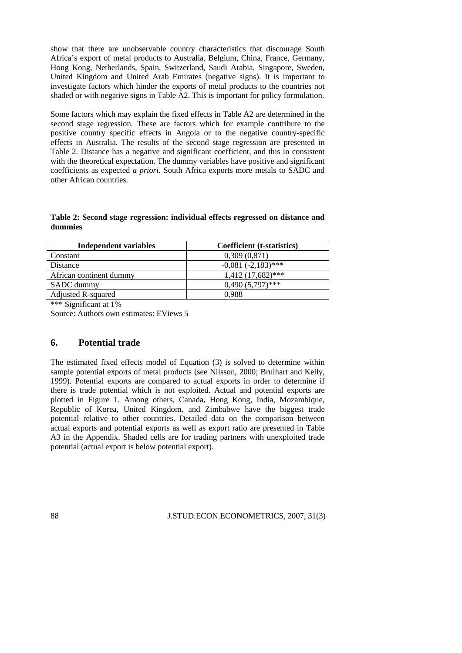show that there are unobservable country characteristics that discourage South Africa's export of metal products to Australia, Belgium, China, France, Germany, Hong Kong, Netherlands, Spain, Switzerland, Saudi Arabia, Singapore, Sweden, United Kingdom and United Arab Emirates (negative signs). It is important to investigate factors which hinder the exports of metal products to the countries not shaded or with negative signs in Table A2. This is important for policy formulation.

Some factors which may explain the fixed effects in Table A2 are determined in the second stage regression. These are factors which for example contribute to the positive country specific effects in Angola or to the negative country-specific effects in Australia. The results of the second stage regression are presented in Table 2. Distance has a negative and significant coefficient, and this in consistent with the theoretical expectation. The dummy variables have positive and significant coefficients as expected *a priori*. South Africa exports more metals to SADC and other African countries.

**Table 2: Second stage regression: individual effects regressed on distance and dummies** 

| Independent variables     | Coefficient (t-statistics) |
|---------------------------|----------------------------|
| Constant                  | 0,309(0,871)               |
| <b>Distance</b>           | $-0.081(-2.183)$ ***       |
| African continent dummy   | $1,412$ (17,682)***        |
| SADC dummy                | $0,490(5,797)$ ***         |
| <b>Adjusted R-squared</b> | 0.988                      |

\*\*\* Significant at 1%

Source: Authors own estimates: EViews 5

### **6. Potential trade**

The estimated fixed effects model of Equation (3) is solved to determine within sample potential exports of metal products (see Nilsson, 2000; Brulhart and Kelly, 1999). Potential exports are compared to actual exports in order to determine if there is trade potential which is not exploited. Actual and potential exports are plotted in Figure 1. Among others, Canada, Hong Kong, India, Mozambique, Republic of Korea, United Kingdom, and Zimbabwe have the biggest trade potential relative to other countries. Detailed data on the comparison between actual exports and potential exports as well as export ratio are presented in Table A3 in the Appendix. Shaded cells are for trading partners with unexploited trade potential (actual export is below potential export).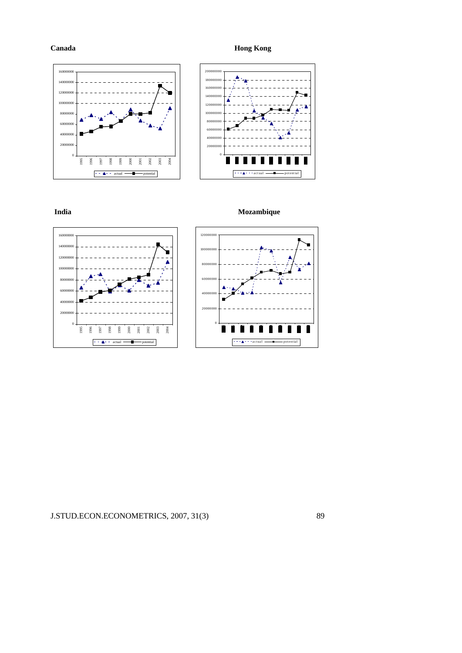**Canada Hong Kong** 









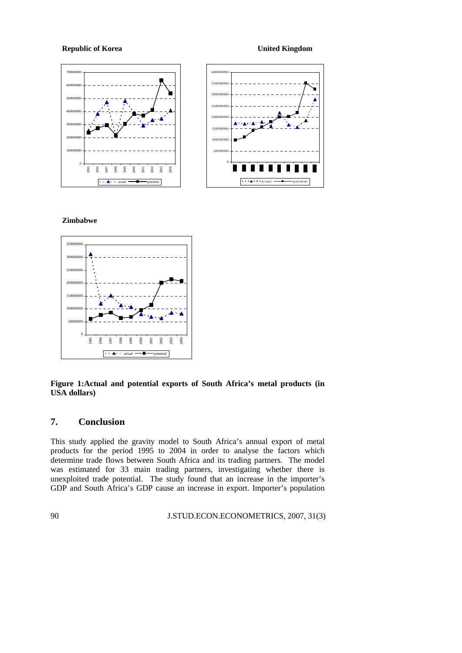**Republic of Korea Community Community Community Community Community Community Community Community Community Community Community Community Community Community Community Community Community Community Community Community Com** 



### **Zimbabwe**



### **Figure 1:Actual and potential exports of South Africa's metal products (in USA dollars)**

# **7. Conclusion**

This study applied the gravity model to South Africa's annual export of metal products for the period 1995 to 2004 in order to analyse the factors which determine trade flows between South Africa and its trading partners. The model was estimated for 33 main trading partners, investigating whether there is unexploited trade potential. The study found that an increase in the importer's GDP and South Africa's GDP cause an increase in export. Importer's population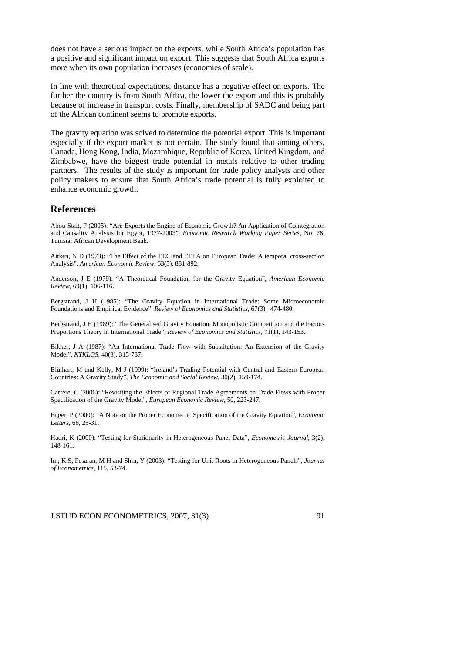does not have a serious impact on the exports, while South Africa's population has a positive and significant impact on export. This suggests that South Africa exports more when its own population increases (economies of scale).

In line with theoretical expectations, distance has a negative effect on exports. The further the country is from South Africa, the lower the export and this is probably because of increase in transport costs. Finally, membership of SADC and being part of the African continent seems to promote exports.

The gravity equation was solved to determine the potential export. This is important especially if the export market is not certain. The study found that among others, Canada, Hong Kong, India, Mozambique, Republic of Korea, United Kingdom, and Zimbabwe, have the biggest trade potential in metals relative to other trading partners. The results of the study is important for trade policy analysts and other policy makers to ensure that South Africa's trade potential is fully exploited to enhance economic growth.

### **References**

Abou-Stait, F (2005): "Are Exports the Engine of Economic Growth? An Application of Cointegration and Causality Analysis for Egypt, 1977-2003", *Economic Research Working Paper Series*, No. 76, Tunisia: African Development Bank.

Aitken, N D (1973): "The Effect of the EEC and EFTA on European Trade: A temporal cross-section Analysis", *American Economic Review*, 63(5), 881-892.

Anderson, J E (1979): "A Theoretical Foundation for the Gravity Equation", *American Economic Review*, 69(1), 106-116.

Bergstrand, J H (1985): "The Gravity Equation in International Trade: Some Microeconomic Foundations and Empirical Evidence", *Review of Economics and Statistics*, 67(3), 474-480.

Bergstrand, J H (1989): "The Generalised Gravity Equation, Monopolistic Competition and the Factor-Proportions Theory in International Trade", *Review of Economics and Statistics*, 71(1), 143-153.

Bikker, J A (1987): "An International Trade Flow with Substitution: An Extension of the Gravity Model", *KYKLOS*, 40(3), 315-737.

Blülhart, M and Kelly, M J (1999): "Ireland's Trading Potential with Central and Eastern European Countries: A Gravity Study", *The Economic and Social Review*, 30(2), 159-174.

Carrère, C (2006): "Revisiting the Effects of Regional Trade Agreements on Trade Flows with Proper Specification of the Gravity Model", *European Economic Review*, 50, 223-247.

Egger, P (2000): "A Note on the Proper Econometric Specification of the Gravity Equation", *Economic Letters*, 66, 25-31.

Hadri, K (2000): "Testing for Stationarity in Heterogeneous Panel Data", *Econometric Journal*, 3(2), 148-161.

Im, K S, Pesaran, M H and Shin, Y (2003): "Testing for Unit Roots in Heterogeneous Panels", *Journal of Econometrics*, 115, 53-74.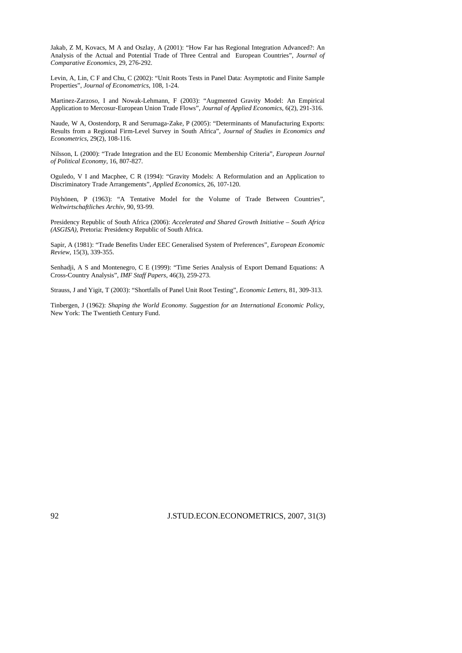Jakab, Z M, Kovacs, M A and Oszlay, A (2001): "How Far has Regional Integration Advanced?: An Analysis of the Actual and Potential Trade of Three Central and European Countries", *Journal of Comparative Economics,* 29, 276-292.

Levin, A, Lin, C F and Chu, C (2002): "Unit Roots Tests in Panel Data: Asymptotic and Finite Sample Properties", *Journal of Econometrics*, 108, 1-24.

Martinez-Zarzoso, I and Nowak-Lehmann, F (2003): "Augmented Gravity Model: An Empirical Application to Mercosur-European Union Trade Flows", *Journal of Applied Economics*, 6(2), 291-316.

Naude, W A, Oostendorp, R and Serumaga-Zake, P (2005): "Determinants of Manufacturing Exports: Results from a Regional Firm-Level Survey in South Africa", *Journal of Studies in Economics and Econometrics*, 29(2), 108-116.

Nilsson, L (2000): "Trade Integration and the EU Economic Membership Criteria", *European Journal of Political Economy*, 16, 807-827.

Oguledo, V I and Macphee, C R (1994): "Gravity Models: A Reformulation and an Application to Discriminatory Trade Arrangements", *Applied Economics*, 26, 107-120.

Pöyhönen, P (1963): "A Tentative Model for the Volume of Trade Between Countries", *Weltwirtschaftliches Archiv*, 90, 93-99.

Presidency Republic of South Africa (2006): *Accelerated and Shared Growth Initiative – South Africa (ASGISA)*, Pretoria: Presidency Republic of South Africa.

Sapir, A (1981): "Trade Benefits Under EEC Generalised System of Preferences", *European Economic Review*, 15(3), 339-355.

Senhadji, A S and Montenegro, C E (1999): "Time Series Analysis of Export Demand Equations: A Cross-Country Analysis", *IMF Staff Papers*, 46(3), 259-273.

Strauss, J and Yigit, T (2003): "Shortfalls of Panel Unit Root Testing", *Economic Letters*, 81, 309-313.

Tinbergen, J (1962): *Shaping the World Economy. Suggestion for an International Economic Policy*, New York: The Twentieth Century Fund.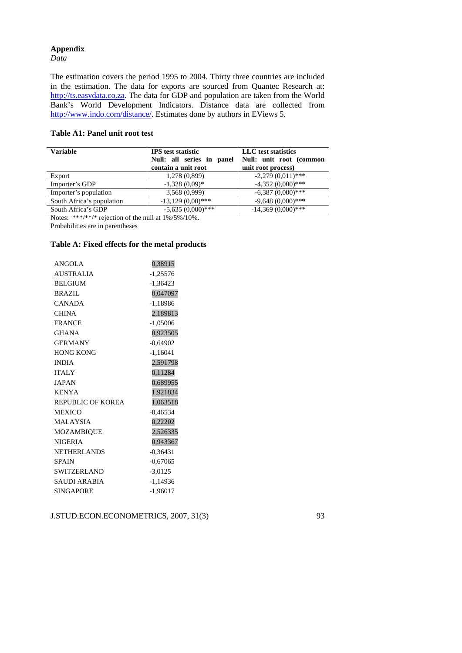# **Appendix**

*Data* 

The estimation covers the period 1995 to 2004. Thirty three countries are included in the estimation. The data for exports are sourced from Quantec Research at: http://ts.easydata.co.za. The data for GDP and population are taken from the World Bank's World Development Indicators. Distance data are collected from http://www.indo.com/distance/. Estimates done by authors in EViews 5.

### **Table A1: Panel unit root test**

| Variable                  | <b>IPS</b> test statistic<br>Null: all series in panel<br>contain a unit root | LLC test statistics<br>Null: unit root (common<br>unit root process) |
|---------------------------|-------------------------------------------------------------------------------|----------------------------------------------------------------------|
| Export                    | 1,278 (0,899)                                                                 | $-2,279(0,011)$ ***                                                  |
| Importer's GDP            | $-1,328(0,09)*$                                                               | $-4,352(0,000)***$                                                   |
| Importer's population     | 3,568 (0,999)                                                                 | $-6,387(0,000)$ ***                                                  |
| South Africa's population | $-13,129(0,00)***$                                                            | $-9,648(0,000)$ ***                                                  |
| South Africa's GDP        | $-5,635(0,000)$ ***                                                           | $-14,369(0,000)$ ***                                                 |

Notes: \*\*\*/\*\*/\* rejection of the null at 1%/5%/10%.

Probabilities are in parentheses

### **Table A: Fixed effects for the metal products**

| 0,38915    |
|------------|
| $-1,25576$ |
| $-1,36423$ |
| 0,047097   |
| $-1,18986$ |
| 2,189813   |
| $-1,05006$ |
| 0,923505   |
| $-0,64902$ |
| $-1,16041$ |
| 2,591798   |
| 0,11284    |
| 0,689955   |
| 1,921834   |
| 1,063518   |
| $-0,46534$ |
| 0,22202    |
| 2,526335   |
| 0,943367   |
| $-0,36431$ |
| $-0,67065$ |
| $-3,0125$  |
| $-1,14936$ |
| $-1,96017$ |
|            |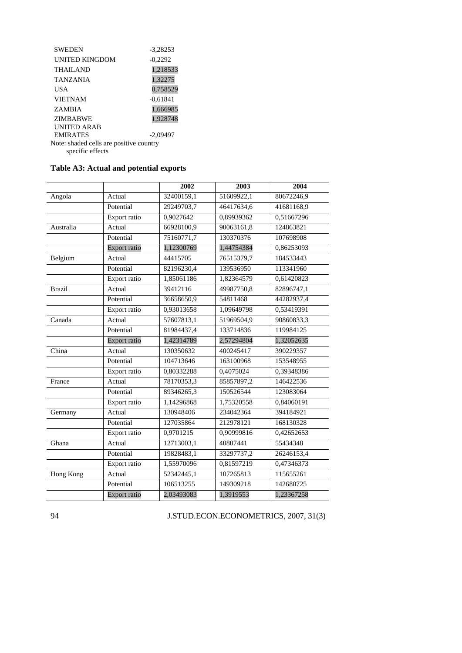| <b>SWEDEN</b>                           | -3.28253   |  |  |
|-----------------------------------------|------------|--|--|
| <b>UNITED KINGDOM</b>                   | $-0,2292$  |  |  |
| <b>THAILAND</b>                         | 1,218533   |  |  |
| <b>TANZANIA</b>                         | 1,32275    |  |  |
| USA                                     | 0,758529   |  |  |
| <b>VIETNAM</b>                          | $-0.61841$ |  |  |
| <b>ZAMBIA</b>                           | 1,666985   |  |  |
| <b>ZIMBABWE</b>                         | 1,928748   |  |  |
| UNITED ARAB                             |            |  |  |
| <b>EMIRATES</b>                         | $-2.09497$ |  |  |
| Note: shaded cells are positive country |            |  |  |
| specific effects                        |            |  |  |

# **Table A3: Actual and potential exports**

|               |                     | 2002       | 2003       | 2004       |
|---------------|---------------------|------------|------------|------------|
| Angola        | Actual              | 32400159,1 | 51609922,1 | 80672246,9 |
|               | Potential           | 29249703,7 | 46417634,6 | 41681168,9 |
|               |                     |            |            |            |
|               | Export ratio        | 0,9027642  | 0,89939362 | 0,51667296 |
| Australia     | Actual              | 66928100,9 | 90063161,8 | 124863821  |
|               | Potential           | 75160771,7 | 130370376  | 107698908  |
|               | <b>Export ratio</b> | 1,12300769 | 1,44754384 | 0,86253093 |
| Belgium       | Actual              | 44415705   | 76515379,7 | 184533443  |
|               | Potential           | 82196230,4 | 139536950  | 113341960  |
|               | Export ratio        | 1,85061186 | 1,82364579 | 0,61420823 |
| <b>Brazil</b> | Actual              | 39412116   | 49987750,8 | 82896747,1 |
|               | Potential           | 36658650,9 | 54811468   | 44282937,4 |
|               | Export ratio        | 0,93013658 | 1,09649798 | 0,53419391 |
| Canada        | Actual              | 57607813,1 | 51969504,9 | 90860833,3 |
|               | Potential           | 81984437,4 | 133714836  | 119984125  |
|               | Export ratio        | 1,42314789 | 2,57294804 | 1,32052635 |
| China         | Actual              | 130350632  | 400245417  | 390229357  |
|               | Potential           | 104713646  | 163100968  | 153548955  |
|               | Export ratio        | 0,80332288 | 0,4075024  | 0,39348386 |
| France        | Actual              | 78170353.3 | 85857897,2 | 146422536  |
|               | Potential           | 89346265,3 | 150526544  | 123083064  |
|               | Export ratio        | 1,14296868 | 1,75320558 | 0,84060191 |
| Germany       | Actual              | 130948406  | 234042364  | 394184921  |
|               | Potential           | 127035864  | 212978121  | 168130328  |
|               | Export ratio        | 0,9701215  | 0,90999816 | 0,42652653 |
| Ghana         | Actual              | 12713003,1 | 40807441   | 55434348   |
|               | Potential           | 19828483,1 | 33297737,2 | 26246153,4 |
|               | Export ratio        | 1,55970096 | 0,81597219 | 0,47346373 |
| Hong Kong     | Actual              | 52342445,1 | 107265813  | 115655261  |
|               | Potential           | 106513255  | 149309218  | 142680725  |
|               | Export ratio        | 2,03493083 | 1,3919553  | 1,23367258 |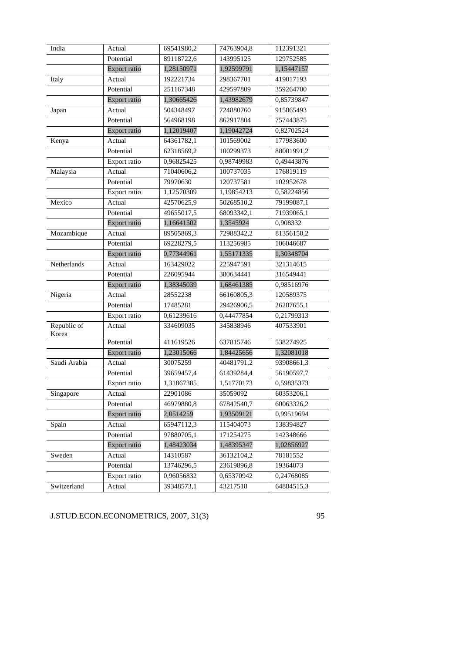| India                | Actual              | 69541980,2 | 74763904,8 | 112391321  |
|----------------------|---------------------|------------|------------|------------|
|                      | Potential           | 89118722,6 | 143995125  | 129752585  |
|                      | Export ratio        | 1,28150971 | 1,92599791 | 1,15447157 |
| Italy                | Actual              | 192221734  | 298367701  | 419017193  |
|                      | Potential           | 251167348  | 429597809  | 359264700  |
|                      | Export ratio        | 1,30665426 | 1,43982679 | 0,85739847 |
| Japan                | Actual              | 504348497  | 724880760  | 915865493  |
|                      | Potential           | 564968198  | 862917804  | 757443875  |
|                      | <b>Export ratio</b> | 1,12019407 | 1,19042724 | 0,82702524 |
| Kenya                | Actual              | 64361782,1 | 101569002  | 177983600  |
|                      | Potential           | 62318569,2 | 100299373  | 88001991,2 |
|                      | Export ratio        | 0,96825425 | 0,98749983 | 0,49443876 |
| Malaysia             | Actual              | 71040606,2 | 100737035  | 176819119  |
|                      | Potential           | 79970630   | 120737581  | 102952678  |
|                      | Export ratio        | 1,12570309 | 1,19854213 | 0,58224856 |
| Mexico               | Actual              | 42570625,9 | 50268510,2 | 79199087,1 |
|                      | Potential           | 49655017,5 | 68093342,1 | 71939065,1 |
|                      | Export ratio        | 1,16641502 | 1,3545924  | 0,908332   |
| Mozambique           | Actual              | 89505869,3 | 72988342,2 | 81356150,2 |
|                      | Potential           | 69228279,5 | 113256985  | 106046687  |
|                      | Export ratio        | 0,77344961 | 1,55171335 | 1,30348704 |
| Netherlands          | Actual              | 163429022  | 225947591  | 321314615  |
|                      | Potential           | 226095944  | 380634441  | 316549441  |
|                      | Export ratio        | 1,38345039 | 1,68461385 | 0,98516976 |
| Nigeria              | Actual              | 28552238   | 66160805,3 | 120589375  |
|                      | Potential           | 17485281   | 29426906,5 | 26287655,1 |
|                      | Export ratio        | 0,61239616 | 0,44477854 | 0,21799313 |
| Republic of<br>Korea | Actual              | 334609035  | 345838946  | 407533901  |
|                      | Potential           | 411619526  | 637815746  | 538274925  |
|                      | Export ratio        | 1,23015066 | 1,84425656 | 1,32081018 |
| Saudi Arabia         | Actual              | 30075259   | 40481791,2 | 93908661,3 |
|                      | Potential           | 39659457,4 | 61439284,4 | 56190597,7 |
|                      | Export ratio        | 1,31867385 | 1,51770173 | 0,59835373 |
| Singapore            | Actual              | 22901086   | 35059092   | 60353206,1 |
|                      | Potential           | 46979880,8 | 67842540,7 | 60063326,2 |
|                      | Export ratio        | 2,0514259  | 1,93509121 | 0,99519694 |
| Spain                | Actual              | 65947112,3 | 115404073  | 138394827  |
|                      | Potential           | 97880705,1 | 171254275  | 142348666  |
|                      | Export ratio        | 1,48423034 | 1,48395347 | 1,02856927 |
| Sweden               | Actual              | 14310587   | 36132104,2 | 78181552   |
|                      | Potential           | 13746296,5 | 23619896,8 | 19364073   |
|                      | Export ratio        | 0,96056832 | 0,65370942 | 0,24768085 |
| Switzerland          | Actual              | 39348573,1 | 43217518   | 64884515,3 |
|                      |                     |            |            |            |